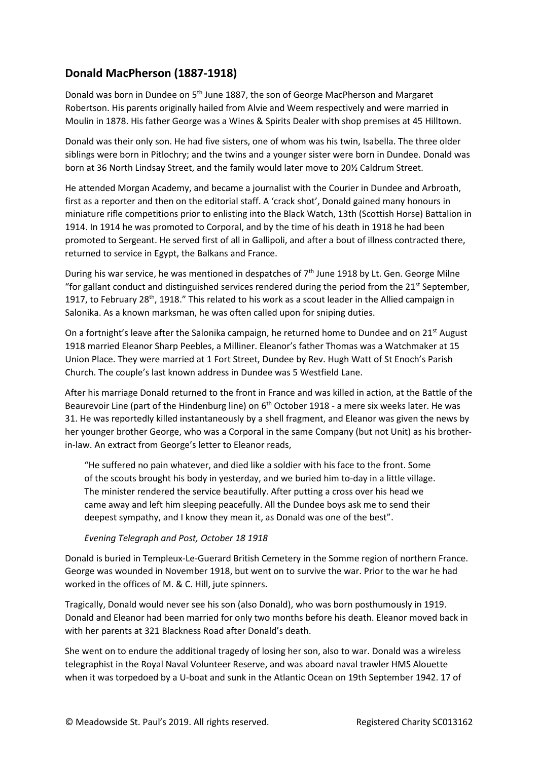## **Donald MacPherson (1887-1918)**

Donald was born in Dundee on 5<sup>th</sup> June 1887, the son of George MacPherson and Margaret Robertson. His parents originally hailed from Alvie and Weem respectively and were married in Moulin in 1878. His father George was a Wines & Spirits Dealer with shop premises at 45 Hilltown.

Donald was their only son. He had five sisters, one of whom was his twin, Isabella. The three older siblings were born in Pitlochry; and the twins and a younger sister were born in Dundee. Donald was born at 36 North Lindsay Street, and the family would later move to 20½ Caldrum Street.

He attended Morgan Academy, and became a journalist with the Courier in Dundee and Arbroath, first as a reporter and then on the editorial staff. A 'crack shot', Donald gained many honours in miniature rifle competitions prior to enlisting into the Black Watch, 13th (Scottish Horse) Battalion in 1914. In 1914 he was promoted to Corporal, and by the time of his death in 1918 he had been promoted to Sergeant. He served first of all in Gallipoli, and after a bout of illness contracted there, returned to service in Egypt, the Balkans and France.

During his war service, he was mentioned in despatches of  $7<sup>th</sup>$  June 1918 by Lt. Gen. George Milne "for gallant conduct and distinguished services rendered during the period from the  $21<sup>st</sup>$  September, 1917, to February 28<sup>th</sup>, 1918." This related to his work as a scout leader in the Allied campaign in Salonika. As a known marksman, he was often called upon for sniping duties.

On a fortnight's leave after the Salonika campaign, he returned home to Dundee and on 21<sup>st</sup> August 1918 married Eleanor Sharp Peebles, a Milliner. Eleanor's father Thomas was a Watchmaker at 15 Union Place. They were married at 1 Fort Street, Dundee by Rev. Hugh Watt of St Enoch's Parish Church. The couple's last known address in Dundee was 5 Westfield Lane.

After his marriage Donald returned to the front in France and was killed in action, at the Battle of the Beaurevoir Line (part of the Hindenburg line) on  $6<sup>th</sup>$  October 1918 - a mere six weeks later. He was 31. He was reportedly killed instantaneously by a shell fragment, and Eleanor was given the news by her younger brother George, who was a Corporal in the same Company (but not Unit) as his brotherin-law. An extract from George's letter to Eleanor reads,

"He suffered no pain whatever, and died like a soldier with his face to the front. Some of the scouts brought his body in yesterday, and we buried him to-day in a little village. The minister rendered the service beautifully. After putting a cross over his head we came away and left him sleeping peacefully. All the Dundee boys ask me to send their deepest sympathy, and I know they mean it, as Donald was one of the best".

## *Evening Telegraph and Post, October 18 1918*

Donald is buried in Templeux-Le-Guerard British Cemetery in the Somme region of northern France. George was wounded in November 1918, but went on to survive the war. Prior to the war he had worked in the offices of M. & C. Hill, jute spinners.

Tragically, Donald would never see his son (also Donald), who was born posthumously in 1919. Donald and Eleanor had been married for only two months before his death. Eleanor moved back in with her parents at 321 Blackness Road after Donald's death.

She went on to endure the additional tragedy of losing her son, also to war. Donald was a wireless telegraphist in the Royal Naval Volunteer Reserve, and was aboard naval trawler HMS Alouette when it was torpedoed by a U-boat and sunk in the Atlantic Ocean on 19th September 1942. 17 of